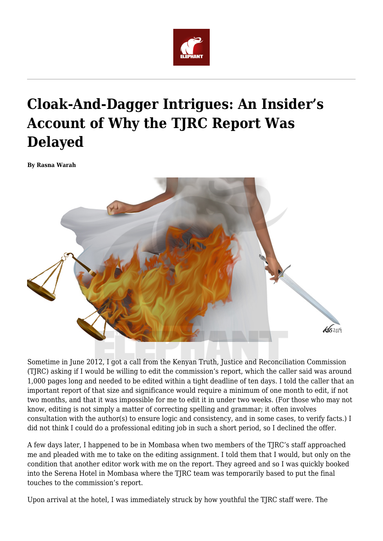

## **Cloak-And-Dagger Intrigues: An Insider's Account of Why the TJRC Report Was Delayed**

**By Rasna Warah**



Sometime in June 2012, I got a call from the Kenyan Truth, Justice and Reconciliation Commission (TJRC) asking if I would be willing to edit the commission's report, which the caller said was around 1,000 pages long and needed to be edited within a tight deadline of ten days. I told the caller that an important report of that size and significance would require a minimum of one month to edit, if not two months, and that it was impossible for me to edit it in under two weeks. (For those who may not know, editing is not simply a matter of correcting spelling and grammar; it often involves consultation with the author(s) to ensure logic and consistency, and in some cases, to verify facts.) I did not think I could do a professional editing job in such a short period, so I declined the offer.

A few days later, I happened to be in Mombasa when two members of the TJRC's staff approached me and pleaded with me to take on the editing assignment. I told them that I would, but only on the condition that another editor work with me on the report. They agreed and so I was quickly booked into the Serena Hotel in Mombasa where the TJRC team was temporarily based to put the final touches to the commission's report.

Upon arrival at the hotel, I was immediately struck by how youthful the TJRC staff were. The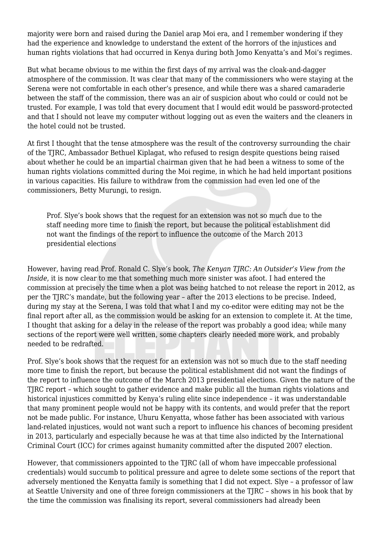majority were born and raised during the Daniel arap Moi era, and I remember wondering if they had the experience and knowledge to understand the extent of the horrors of the injustices and human rights violations that had occurred in Kenya during both Jomo Kenyatta's and Moi's regimes.

But what became obvious to me within the first days of my arrival was the cloak-and-dagger atmosphere of the commission. It was clear that many of the commissioners who were staying at the Serena were not comfortable in each other's presence, and while there was a shared camaraderie between the staff of the commission, there was an air of suspicion about who could or could not be trusted. For example, I was told that every document that I would edit would be password-protected and that I should not leave my computer without logging out as even the waiters and the cleaners in the hotel could not be trusted.

At first I thought that the tense atmosphere was the result of the controversy surrounding the chair of the TJRC, Ambassador Bethuel Kiplagat, who refused to resign despite questions being raised about whether he could be an impartial chairman given that he had been a witness to some of the human rights violations committed during the Moi regime, in which he had held important positions in various capacities. His failure to withdraw from the commission had even led one of the commissioners, Betty Murungi, to resign.

Prof. Slye's book shows that the request for an extension was not so much due to the staff needing more time to finish the report, but because the political establishment did not want the findings of the report to influence the outcome of the March 2013 presidential elections

However, having read Prof. Ronald C. Slye's book, *The Kenyan TJRC: An Outsider's View from the Inside*, it is now clear to me that something much more sinister was afoot. I had entered the commission at precisely the time when a plot was being hatched to not release the report in 2012, as per the TJRC's mandate, but the following year – after the 2013 elections to be precise. Indeed, during my stay at the Serena, I was told that what I and my co-editor were editing may not be the final report after all, as the commission would be asking for an extension to complete it. At the time, I thought that asking for a delay in the release of the report was probably a good idea; while many sections of the report were well written, some chapters clearly needed more work, and probably needed to be redrafted.

Prof. Slye's book shows that the request for an extension was not so much due to the staff needing more time to finish the report, but because the political establishment did not want the findings of the report to influence the outcome of the March 2013 presidential elections. Given the nature of the TJRC report – which sought to gather evidence and make public all the human rights violations and historical injustices committed by Kenya's ruling elite since independence – it was understandable that many prominent people would not be happy with its contents, and would prefer that the report not be made public. For instance, Uhuru Kenyatta, whose father has been associated with various land-related injustices, would not want such a report to influence his chances of becoming president in 2013, particularly and especially because he was at that time also indicted by the International Criminal Court (ICC) for crimes against humanity committed after the disputed 2007 election.

However, that commissioners appointed to the TJRC (all of whom have impeccable professional credentials) would succumb to political pressure and agree to delete some sections of the report that adversely mentioned the Kenyatta family is something that I did not expect. Slye – a professor of law at Seattle University and one of three foreign commissioners at the TJRC – shows in his book that by the time the commission was finalising its report, several commissioners had already been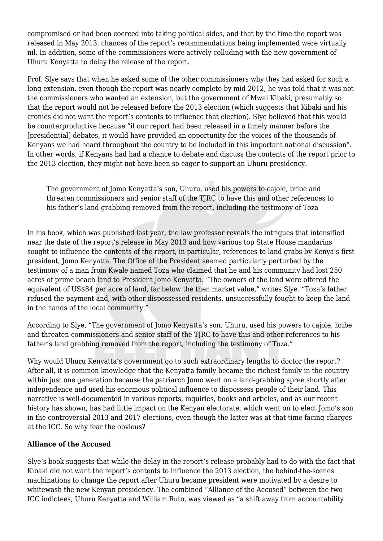compromised or had been coerced into taking political sides, and that by the time the report was released in May 2013, chances of the report's recommendations being implemented were virtually nil. In addition, some of the commissioners were actively colluding with the new government of Uhuru Kenyatta to delay the release of the report.

Prof. Slye says that when he asked some of the other commissioners why they had asked for such a long extension, even though the report was nearly complete by mid-2012, he was told that it was not the commissioners who wanted an extension, but the government of Mwai Kibaki, presumably so that the report would not be released before the 2013 election (which suggests that Kibaki and his cronies did not want the report's contents to influence that election). Slye believed that this would be counterproductive because "if our report had been released in a timely manner before the [presidential] debates, it would have provided an opportunity for the voices of the thousands of Kenyans we had heard throughout the country to be included in this important national discussion". In other words, if Kenyans had had a chance to debate and discuss the contents of the report prior to the 2013 election, they might not have been so eager to support an Uhuru presidency.

The government of Jomo Kenyatta's son, Uhuru, used his powers to cajole, bribe and threaten commissioners and senior staff of the TJRC to have this and other references to his father's land grabbing removed from the report, including the testimony of Toza

In his book, which was published last year, the law professor reveals the intrigues that intensified near the date of the report's release in May 2013 and how various top State House mandarins sought to influence the contents of the report, in particular, references to land grabs by Kenya's first president, Jomo Kenyatta. The Office of the President seemed particularly perturbed by the testimony of a man from Kwale named Toza who claimed that he and his community had lost 250 acres of prime beach land to President Jomo Kenyatta. "The owners of the land were offered the equivalent of US\$84 per acre of land, far below the then market value," writes Slye. "Toza's father refused the payment and, with other dispossessed residents, unsuccessfully fought to keep the land in the hands of the local community."

According to Slye, "The government of Jomo Kenyatta's son, Uhuru, used his powers to cajole, bribe and threaten commissioners and senior staff of the TJRC to have this and other references to his father's land grabbing removed from the report, including the testimony of Toza."

Why would Uhuru Kenyatta's government go to such extraordinary lengths to doctor the report? After all, it is common knowledge that the Kenyatta family became the richest family in the country within just one generation because the patriarch Jomo went on a land-grabbing spree shortly after independence and used his enormous political influence to dispossess people of their land. This narrative is well-documented in various reports, inquiries, books and articles, and as our recent history has shown, has had little impact on the Kenyan electorate, which went on to elect Jomo's son in the controversial 2013 and 2017 elections, even though the latter was at that time facing charges at the ICC. So why fear the obvious?

## **Alliance of the Accused**

Slye's book suggests that while the delay in the report's release probably had to do with the fact that Kibaki did not want the report's contents to influence the 2013 election, the behind-the-scenes machinations to change the report after Uhuru became president were motivated by a desire to whitewash the new Kenyan presidency. The combined "Alliance of the Accused" between the two ICC indictees, Uhuru Kenyatta and William Ruto, was viewed as "a shift away from accountability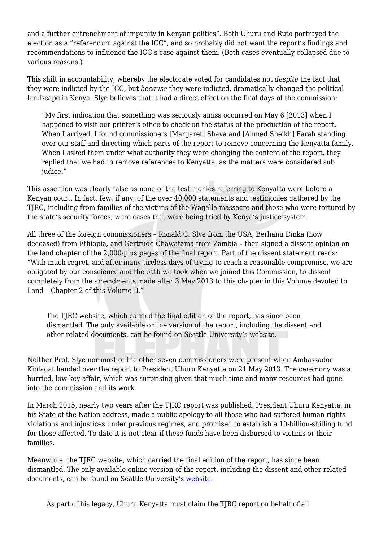and a further entrenchment of impunity in Kenyan politics". Both Uhuru and Ruto portrayed the election as a "referendum against the ICC", and so probably did not want the report's findings and recommendations to influence the ICC's case against them. (Both cases eventually collapsed due to various reasons.)

This shift in accountability, whereby the electorate voted for candidates not *despite* the fact that they were indicted by the ICC, but *because* they were indicted, dramatically changed the political landscape in Kenya. Slye believes that it had a direct effect on the final days of the commission:

"My first indication that something was seriously amiss occurred on May 6 [2013] when I happened to visit our printer's office to check on the status of the production of the report. When I arrived, I found commissioners [Margaret] Shava and [Ahmed Sheikh] Farah standing over our staff and directing which parts of the report to remove concerning the Kenyatta family. When I asked them under what authority they were changing the content of the report, they replied that we had to remove references to Kenyatta, as the matters were considered sub judice."

This assertion was clearly false as none of the testimonies referring to Kenyatta were before a Kenyan court. In fact, few, if any, of the over 40,000 statements and testimonies gathered by the TJRC, including from families of the victims of the Wagalla massacre and those who were tortured by the state's security forces, were cases that were being tried by Kenya's justice system.

All three of the foreign commissioners – Ronald C. Slye from the USA, Berhanu Dinka (now deceased) from Ethiopia, and Gertrude Chawatama from Zambia – then signed a dissent opinion on the land chapter of the 2,000-plus pages of the final report. Part of the dissent statement reads: "With much regret, and after many tireless days of trying to reach a reasonable compromise, we are obligated by our conscience and the oath we took when we joined this Commission, to dissent completely from the amendments made after 3 May 2013 to this chapter in this Volume devoted to Land – Chapter 2 of this Volume B."

The TJRC website, which carried the final edition of the report, has since been dismantled. The only available online version of the report, including the dissent and other related documents, can be found on Seattle University's website.

Neither Prof. Slye nor most of the other seven commissioners were present when Ambassador Kiplagat handed over the report to President Uhuru Kenyatta on 21 May 2013. The ceremony was a hurried, low-key affair, which was surprising given that much time and many resources had gone into the commission and its work.

In March 2015, nearly two years after the TJRC report was published, President Uhuru Kenyatta, in his State of the Nation address, made a public apology to all those who had suffered human rights violations and injustices under previous regimes, and promised to establish a 10-billion-shilling fund for those affected. To date it is not clear if these funds have been disbursed to victims or their families.

Meanwhile, the TJRC website, which carried the final edition of the report, has since been dismantled. The only available online version of the report, including the dissent and other related documents, can be found on Seattle University's [website.](http://digitalcommons.law.seattleu.edu/tjrc/)